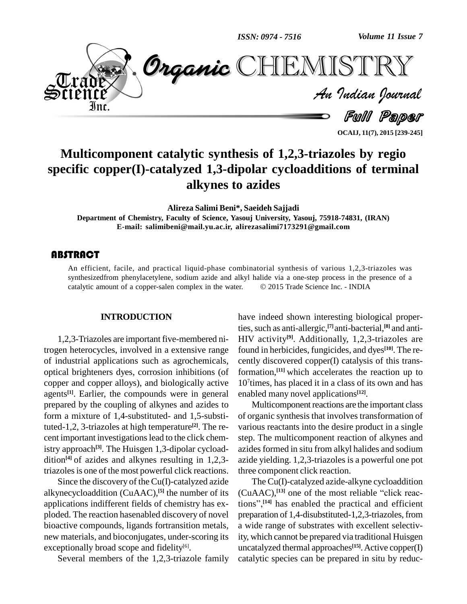*ISSN: 0974 - 7516*

*Volume 11 Issue 7*



**OCAIJ, 11(7), 2015 [239-245]**

## **Multicomponent catalytic synthesis of 1,2,3-triazoles by regio specific copper(I)-catalyzed 1,3-dipolar cycloadditions of terminal alkynes to azides**

**Alireza Salimi Beni\*, Saeideh Sajjadi Department** of Chemistry, Faculty of Science, Yasouj University, Yasouj, 75918-74831, (IRAN) **E-mail: [salimibeni@mail.yu.ac.ir,](mailto:salimibeni@mail.yu.ac.ir,) [alirezasalimi7173291@gmail.com](mailto:alirezasalimi7173291@gmail.com)**

#### **ABSTRACT**

catalytic amount of a copper-salen complex in the water. An efficient, facile, and practical liquid-phase combinatorial synthesis of various 1,2,3-triazoles was synthesizedfrom phenylacetylene, sodium azide and alkyl halide via a one-step process in the presence of a An efficient, facile, and practical liquid-phase combinatorial synthesis of various 1,2,3-triazoles was<br>synthesizedfrom phenylacetylene, sodium azide and alkyl halide via a one-step process in the presence of a<br>catalytic a

#### **INTRODUCTION**

1,2,3-Triazoles are important five-membered nitrogen heterocycles, involved in a extensive range of industrial applications such as agrochemicals, optical brighteners dyes, corrosion inhibitions (of copper and copper alloys), and biologically active agents<sup>[1]</sup>. Earlier, the compounds were in general en prepared by the coupling of alkynes and azides to form a mixture of 1,4-substituted- and 1,5-substituted-1,2, 3-triazoles at high temperature **[2]**. The re cent important investigations lead to the click chemistry approach **[3]**. The Huisgen 1,3-dipolar cycload dition **[4]** of azides and alkynes resulting in 1,2,3 triazoles is one of the most powerful click reactions.

Since the discovery of the Cu(I)-catalyzed azide alkynecycloaddition (CuAAC), **[5]** the number of its applications indifferent fields of chemistry has ex ploded. The reaction hasenabled discovery of novel bioactive compounds, ligands fortransition metals, new materials, and bioconjugates, under-scoring its exceptionally broad scope and fidelity<sup>[6]</sup>.

Several members of the 1,2,3-triazole family

have indeed shown interesting biological properties, such as anti-allergic,<sup>[7]</sup>anti-bacterial,<sup>[8]</sup> and anti-HIV activity **[9]**. Additionally, 1,2,3-triazoles are found in herbicides, fungicides, and dyes **[10]**. The re cently discovered copper(I) catalysis of this transformation, **[11]** which accelerates the reaction up to 10 7 times, has placed it in a class of its own and has enabled many novel applications **[12]**.

Multicomponent reactions are the important class of organic synthesis that involves transformation of various reactants into the desire product in a single step. The multicomponent reaction of alkynes and azides formed in situ from alkyl halides and sodium azide yielding. 1,2,3-triazoles is a powerful one pot three component click reaction.

The Cu(I)-catalyzed azide-alkyne cycloaddition three component click reaction.<br>
The Cu(I)-catalyzed azide-alkyne cycloaddition<br>
(CuAAC),<sup>[13]</sup> one of the most reliable "click reac-The Cuon (CuAAC),<sup>[1</sup><br>tions<sup>"</sup>,<sup>[14]</sup> h tions",<sup>[14]</sup> has enabled the practical and efficient preparation of 1,4-disubstituted-1,2,3-triazoles, from a wide range of substrates with excellent selectivity, which cannot be prepared via traditional Huisgen uncatalyzed thermal approaches **[15]**.Active copper(I) catalytic species can be prepared in situ by reduc-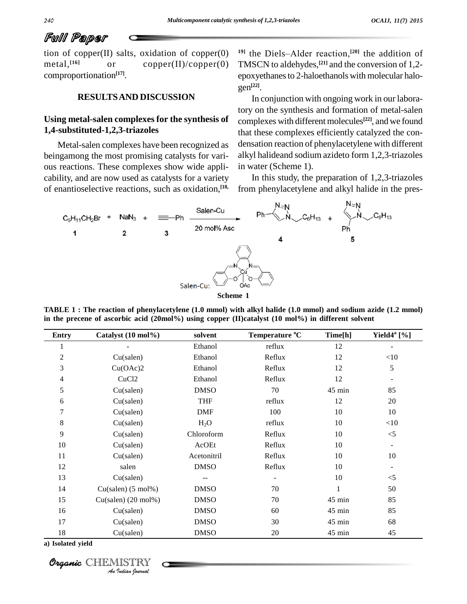## Full Paper

tion of copper $(II)$  salts, oxidation of copper $(0)$  $metal.<sup>[16]</sup>$ or copper(II)/copper(0) comproportionation **[17]**.

#### **RESULTSAND DISCUSSION**

### **Using metal-salen complexes for the synthesis of 1,4-substituted-1,2,3-triazoles**

Metal-salen complexes have been recognized as beingamong the most promising catalysts for vari ous reactions. These complexes show wide appli cability, and are now used as catalysts for a variety of enantioselective reactions, such as oxidation, **[18,**

<sup>19]</sup> the Diels–Alder reaction,<sup>[20]</sup> the addition of TMSCN to aldehydes, **[21]** and the conversion of 1,2 epoxyethanes to 2-haloethanols with molecular halogen **[22]**.

In conjunction with ongoing work in our laboratory on the synthesis and formation of metal-salen complexes with different molecules **[22]**, and we found that these complexes efficiently catalyzed the con densation reaction of phenylacetylene with different alkyl halideand sodium azideto form 1,2,3-triazoles in water (Scheme 1).

In this study, the preparation of 1,2,3-triazoles from phenylacetylene and alkyl halide in the pres-



TABLE 1 : The reaction of phenylacetylene (1.0 mmol) with alkyl halide (1.0 mmol) and sodium azide (1.2 mmol) **in the precene of ascorbic acid (20mol%) using copper (II)catalyst (10 mol%) in different solvent**

| <b>Entry</b> | Catalyst (10 mol%)    | solvent     | Temperature °C | Time[h]          | Yield $4^a$ [%] |
|--------------|-----------------------|-------------|----------------|------------------|-----------------|
| 1            |                       | Ethanol     | reflux         | 12               |                 |
| 2            | Cu(salen)             | Ethanol     | Reflux         | 12               | <10             |
| 3            | Cu(OAc)2              | Ethanol     | Reflux         | 12               | 5               |
| 4            | CuCl <sub>2</sub>     | Ethanol     | Reflux         | 12               |                 |
| 5            | Cu(salen)             | <b>DMSO</b> | 70             | 45 min           | 85              |
| 6            | Cu(salen)             | <b>THF</b>  | reflux         | 12               | $20\,$          |
| 7            | Cu(salen)             | <b>DMF</b>  | 100            | 10               | 10              |
| 8            | Cu(salen)             | $H_2O$      | reflux         | 10               | $<\!\!10$       |
| 9            | Cu(salen)             | Chloroform  | Reflux         | 10               | $<\!\!5$        |
| 10           | Cu(salen)             | AcOEt       | Reflux         | 10               | ۰               |
| 11           | Cu(salen)             | Acetonitril | Reflux         | 10               | 10              |
| 12           | salen                 | <b>DMSO</b> | Reflux         | 10               |                 |
| 13           | Cu(salen)             |             |                | 10               | $< 5$           |
| 14           | $Cu(salen)$ (5 mol%)  | <b>DMSO</b> | 70             | 1                | 50              |
| 15           | $Cu(salen)$ (20 mol%) | <b>DMSO</b> | 70             | $45 \text{ min}$ | 85              |
| 16           | Cu(salen)             | <b>DMSO</b> | 60             | 45 min           | 85              |
| 17           | Cu(salen)             | <b>DMSO</b> | 30             | 45 min           | 68              |
| 18           | Cu(salen)             | <b>DMSO</b> | 20             | 45 min           | 45              |

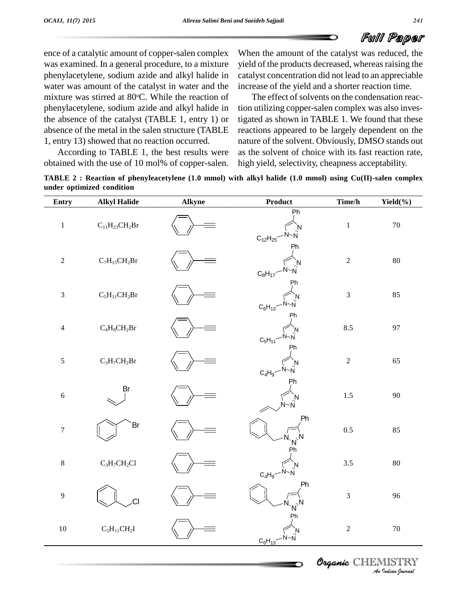$\overline{\phantom{0}}$ 

ence of a catalytic amount of copper-salen complex was examined. In a general procedure, to a mixture phenylacetylene, sodium azide and alkyl halide in water was amount of the catalyst in water and the mixture was stirred at 80°C. While the reaction of phenylacetylene, sodium azideand alkyl halide in the absence of the catalyst (TABLE 1, entry 1) or absence of the metal in the salen structure (TABLE 1, entry 13) showed that no reaction occurred.

According to TABLE 1, the best results were obtained with the use of 10 mol% of copper-salen.

When the amount of the catalyst was reduced, the yield of the products decreased, whereas raising the catalyst concentration did not lead to an appreciable increase of the yield and a shorter reaction time.

The effect of solvents on the condensation reaction utilizing copper-salen complex was also investigated as shown in TABLE 1. We found that these reactions appeared to be largely dependent on the nature of the solvent. Obviously, DMSO stands out as the solvent of choice with its fast reaction rate, high yield, selectivity, cheapness acceptability.

**TABLE 2 : Reaction of phenyleacetylene (1.0 mmol) with alkyl halide (1.0 mmol) using Cu(II)-salen complex under optimized condition**

| Entry                                  | <b>Alkyl Halide</b>   | Alkyne | Product                                     | Time/h        | $Yield(\%)$ |  |  |  |
|----------------------------------------|-----------------------|--------|---------------------------------------------|---------------|-------------|--|--|--|
| $\,1\,$                                | $C_{11}H_{23}CH_2Br$  |        | $\overline{Ph}$<br>Ñ<br>Ν<br>$C_{12}H_{25}$ | $\,1$         | 70          |  |  |  |
| $\sqrt{2}$                             | $\rm C_7H_{15}CH_2Br$ |        | Ph<br>N<br>N<br>$C_8H_{17}$                 | $\sqrt{2}$    | 80          |  |  |  |
| $\sqrt{3}$                             | $C_5H_{11}CH_2Br$     |        | Ph<br>۰N<br>$C_6H_{13}$                     | $\mathfrak 3$ | 85          |  |  |  |
| $\overline{4}$                         | $C_4H_9CH_2Br$        |        | Ph<br>$C_5H_{11}$                           | 8.5           | 97          |  |  |  |
| $\sqrt{5}$                             | $C_3H_7CH_2Br$        |        | Ph<br>Ņ<br>Ń<br>$C_4H_9$                    | $\sqrt{2}$    | 65          |  |  |  |
| $\sqrt{6}$                             | Br                    |        | Ph<br>'N<br>Ν                               | 1.5           | 90          |  |  |  |
| $\boldsymbol{7}$                       | Br                    |        | Ph<br>$N^{'N}$                              | 0.5           | 85          |  |  |  |
| $\,8\,$                                | $C_3H_7CH_2Cl$        |        | N,<br>$C_4H_9$                              | 3.5           | 80          |  |  |  |
| $\overline{9}$                         | <b>CI</b>             |        | Ph<br>$N^2$<br>Ph                           | $\sqrt{3}$    | 96          |  |  |  |
| $10\,$                                 | $C_5H_{11}CH_2I$      |        | $C_6H_{13}$                                 | $\sqrt{2}$    | 70          |  |  |  |
| Organic CHEMISTRY<br>An Indian Nournal |                       |        |                                             |               |             |  |  |  |

**CHEMISTRY**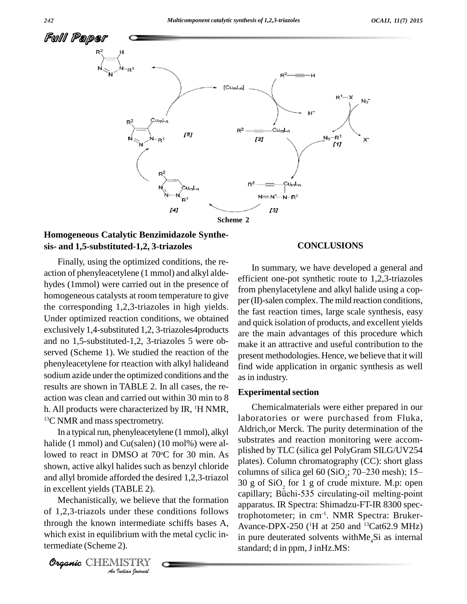

#### **Homogeneous Catalytic Benzimidazole Synthe sis- and 1,5-substituted-1,2, 3-triazoles**

Finally, using the optimized conditions, the re action of phenyleacetylene (1 mmol) and alkyl alde hydes (1mmol) were carried out in the presence of homogeneous catalysts at room temperature to give the corresponding 1,2,3-triazoles in high yields. Under optimized reaction conditions, we obtained exclusively 1,4-substituted 1,2, 3-triazoles4products and no 1,5-substituted-1,2, 3-triazoles 5 were ob served (Scheme 1). We studied the reaction of the phenyleacetylene for rteaction with alkyl halideand sodium azide under the optimized conditions and the results are shown in TABLE 2. In all cases, the re action was clean and carried out within 30 min to 8 h. All products were characterized by IR, <sup>1</sup>H NMR, <sup>13</sup>C NMR and mass spectrometry.

In a typical run, phenyleacetylene (1 mmol), alkyl halide (1 mmol) and Cu(salen) (10 mol%) were allowed to react in DMSO at 70 $\degree$ C for 30 min. As  $\frac{p_{\text{H}}}{1}$ shown, active alkyl halides such as benzyl chloride and allyl bromide afforded the desired 1,2,3-triazol in excellent yields (TABLE 2).

*Ancenansiedry,* we believe that the formation appartune approach the seconditions follows trend *Inder* these contermediate<br>*Intermediate*<br>2).<br>*IISTRY*<br>*Indian Ipermal* through the known intermediate schiffs bases A, which exist in equilibrium with the metal cyclic intermediate (Scheme 2).

CHEMISTRY COMMENT

#### **CONCLUSIONS**

In summary, we have developed a general and efficient one-pot synthetic route to 1,2,3-triazoles from phenylacetylene and alkyl halide using a cop per(II)-salen complex. The mild reaction conditions, the fast reaction times, large scale synthesis, easy and quick isolation of products, and excellent yields are the main advantages of this procedure which make it an attractive and useful contribution to the present methodologies. Hence, we believe that it will find wide application in organic synthesis as well as in industry.

#### **Experimental section**

Mechanistically, we believe that the formation<br>Mechanistically, we believe that the formation<br>measure  $\sum_{n=1}^{\infty}$  Spectral Shimoday  $\sum_{n=1}^{\infty}$  B 8200 apoc Chemicalmaterials were either prepared in our laboratories or were purchased from Fluka, Aldrich,or Merck. The purity determination of the substrates and reaction monitoring were accom plished by TLC (silica gel PolyGram SILG/UV254 plates). Column chromatography (CC): short glass plished by TLC (silica gel PolyGram SILG/UV254<br>plates). Column chromatography (CC): short glass<br>columns of silica gel 60 (SiO<sub>2</sub>; 70–230 mesh); 15–  $30 \text{ g}$  of SiO<sub>2</sub> for 1 g of crude mixture. M.p: open columns of silica gel 60 ( $SiO_2$ ; 70–230 mesh); 15–<br>30 g of  $SiO_2$  for 1 g of crude mixture. M.p: open<br>capillary; Büchi-535 circulating-oil melting-point apparatus. IR Spectra: Shimadzu-FT-IR 8300 spectrophotometer; in cm-1 . NMR Spectra: Bruker- Avance-DPX-250 ( <sup>1</sup>H at 250 and <sup>13</sup>Cat62.9 MHz) in pure deuterated solvents with $Me<sub>a</sub>Si$  as internal standard; d in ppm, J inHz.MS: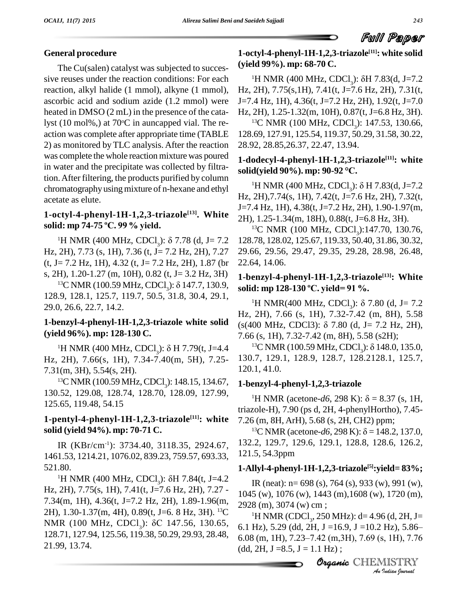### **General procedure**

The Cu(salen) catalyst was subjected to succes sive reuses under the reaction conditions: For each reaction, alkyl halide (1 mmol), alkyne (1 mmol), ascorbic acid and sodium azide (1.2 mmol) were heated in DMSO (2 mL) in the presence of the catalyst (10 mol%,) at 70°C in auncapped vial. The reaction was complete after appropriate time (TABLE 2) as monitored by TLC analysis. After the reaction was complete the whole reaction mixture was poured in water and the precipitate was collected by filtra-<br>solid(yield 90%). mp: 90-92 °C. tion.After filtering, the products purified by column chromatography using mixture of n-hexane and ethyl acetate as elute.

## **1-octyl-4-phenyl-1H-1,2,3-triazole [13]. White solid: mp 74-75 ºC. <sup>99</sup> % yield.**

Hz, 2H), 7.73 (s, 1H), 7.36 (t, J= 7.2 Hz, 2H), 7.27 (t, J= 7.2 Hz, 1H), 4.32 (t, J= 7.2 Hz, 2H), 1.87 (br s, 2H), 1.20-1.27 (m, 10H), 0.82 (t, J= 3.2 Hz, 3H)

<sup>13</sup>C NMR (100.59 MHz, CDCl<sub>3</sub>):  $\delta$  147.7, 130.9, solid: mp 128-130 °C. yield= 91 %.<br>128.9, 128.1, 125.7, 119.7, 50.5, 31.8, 30.4, 29.1, 29.0, 26.6, 22.7, 14.2.

### **1-benzyl-4-phenyl-1H-1,2,3-triazole white solid (yield 96%). mp: 128-130 C.**

Hz, 2H), 7.66(s, 1H), 7.34-7.40(m, 5H), 7.25- 7.31(m, 3H), 5.54(s, 2H).

<sup>13</sup>C NMR (100.59 MHz, CDCl<sub>3</sub>): 148.15, 134.67, 130.52, 129.08, 128.74, 128.70, 128.09, 127.99, 125.65, 119.48, 54.15

### **1-pentyl-4-phenyl-1H-1,2,3-triazole [11]: white solid (yield 94%). mp: 70-71 C.**

IR (KBr/cm-1): 3734.40, 3118.35, 2924.67, 1461.53, 1214.21, 1076.02, 839.23, 759.57, 693.33, <sup>121.5</sup>,<br>521.80. **1-Ally** <br><sup>1</sup>H NMR (400 MHz, CDCl<sub>3</sub>): δH 7.84(t, J=4.2 521.80.

Hz, 2H), 7.75(s, 1H), 7.41(t, J=7.6 Hz, 2H), 7.27 -  $\frac{1045 \text{ (w)}}{1035 \text{ (w)}}$ ,  $\frac{1443 \text{ (m)}}{1608 \text{ (w)}}$ ,  $\frac{1720 \text{ (m)}}{1720 \text{ (m)}}$ 7.34(m, 1H), 4.36(t, J=7.2 Hz, 2H), 1.89-1.96(m, 2H), 1.30-1.37(m, 4H), 0.89(t, J=6. 8 Hz, 3H). <sup>13</sup>C NMR (100 MHz, CDCl<sub>3</sub>):  $\delta$ C 147.56, 130.65, 6.1 Hz), 5.29 (dd,  $2H$ , J =16.9, J =10.2 Hz), 5.86–<br>128.71, 127.94, 125.56, 119.38, 50.29, 29.93, 28.48, 6.08 (m, 1H), 7.23–7.42 (m, 3H), 7.69 (s, 1H), 7.76 21.99, 13.74.

### **1-octyl-4-phenyl-1H-1,2,3-triazole [11]: white solid (yield 99%). mp: 68-70 C.**

<sup>1</sup>H NMR (400 MHz, CDCl<sub>3</sub>):  $\delta$ H 7.83(d, J=7.2 Hz, 2H), 7.75(s,1H), 7.41(t, J=7.6 Hz, 2H), 7.31(t, J=7.4 Hz, 1H), 4.36(t, J=7.2 Hz, 2H), 1.92(t, J=7.0 Hz, 2H), 1.25-1.32(m, 10H), 0.87(t, J=6.8 Hz, 3H).

<sup>13</sup>C NMR (100 MHz, CDCl<sub>3</sub>): 147.53, 130.66, 128.69, 127.91, 125.54, 119.37, 50.29, 31.58, 30.22, 28.92, 28.85,26.37, 22.47, 13.94.

## **1-dodecyl-4-phenyl-1H-1,2,3-triazole [11]: white** 28.92, 28.85,26.37, 22.47, 13.94.<br>**1-dodecyl-4-phenyl-1H-1,2,3-triaz**c<br>solid(yield 90%). mp: 90-92 °C.

<sup>1</sup>H NMR (400 MHz, CDCl<sub>2</sub>):  $\delta$  H 7.83(d, J=7.2 Hz, 2H),7.74(s, 1H), 7.42(t, J=7.6 Hz, 2H), 7.32(t, J=7.4 Hz, 1H), 4.38(t, J=7.2 Hz, 2H), 1.90-1.97(m, 2H), 1.25-1.34(m, 18H), 0.88(t, J=6.8 Hz, 3H).

solid: mp 74-75 °C. 99 % yield.<br>
<sup>13</sup>C NMR (100 MHz, CDCl<sub>3</sub>):147.70, 130.76,<br>
<sup>1</sup>H NMR (400 MHz, CDCl<sub>3</sub>):  $\delta$  7.78 (d, J= 7.2 128.78, 128.02, 125.67, 119.33, 50.40, 31.86, 30.32, 128.78, 128.02, 125.67, 119.33, 50.40, 31.86, 30.32, 29.66, 29.56, 29.47, 29.35, 29.28, 28.98, 26.48, 22.64, 14.06.

## **1-benzyl-4-phenyl-1H-1,2,3-triazole [13]: White solid: mp 128-130 ºC. yield= <sup>91</sup> %.**

<sup>1</sup>H NMR(400 MHz, CDCl<sub>2</sub>):  $\delta$  7.80 (d, J= 7.2) Hz, 2H), 7.66 (s, 1H), 7.32-7.42 (m, 8H), 5.58 <sup>1</sup>H NMR(400 MHz, CDCl<sub>3</sub>): δ 7.80 (d, J= 7.2<br>Hz, 2H), 7.66 (s, 1H), 7.32-7.42 (m, 8H), 5.58<br>(s(400 MHz, CDCl3): δ 7.80 (d, J= 7.2 Hz, 2H), 7.66 (s, 1H), 7.32-7.42 (m, 8H), 5.58 (s2H);  $(s(400 \text{ MHz}, \text{CDCl3})$ :  $\delta$  7.80 (d, J = 7.2 Hz, 2H),

<sup>1</sup>H NMR (400 MHz, CDCl<sub>3</sub>):  $\delta$  H 7.79(t, J=4.4 <sup>13</sup>C NMR (100.59 MHz, CDCl<sub>3</sub>):  $\delta$  148.0, 135.0, 2H). 7.66(s, 1H). 7.34-7.40(m, 5H). 7.25- 130.7, 129.1, 128.9, 128.7, 128.2128.1, 125.7, 120.1, 41.0.

### **1-benzyl-4-phenyl-1,2,3-triazole**

<sup>1</sup>H NMR (acetone- $d6$ , 298 K):  $\delta$  = 8.37 (s, 1H, triazole-H), 7.90 (ps d, 2H, 4-phenylHortho), 7.45- 7.26 (m, 8H, ArH), 5.68 (s, 2H, CH2) ppm;

<sup>13</sup>C NMR (acetone-*d*6, 298 K): δ = 148.2, 137.0, 132.2, 129.7, 129.6, 129.1, 128.8, 128.6, 126.2, 121.5, 54.3ppm

### **1-Allyl-4-phenyl-1H-1,2,3-triazole [5]:yield= 83%;**

**Organic**2928 (m), 3074 (w) cm ; 1045 (w), 1076 (w), 1443 (m), 1608 (w), 1720 (m),

*I*<br>*Hz*), 5.86—<br>*I*, 1H), 7.76<br>*I*ISTRY<br>*Indian Iournal*  $^{1}$ H NMR (CDCl<sub>3</sub>, 250 MHz): d= 4.96 (d, 2H, J= 2928 (m), 3074 (w) cm ;<br><sup>1</sup>H NMR (CDCl<sub>3</sub>, 250 MHz): d= 4.96 (d, 2H, J=<br>6.1 Hz), 5.29 (dd, 2H, J = 16.9, J = 10.2 Hz), 5.86– <sup>1</sup>H NMR (CDC1<sub>3</sub>, 250 MHz): d= 4.96 (d, 2H, J=<br>6.1 Hz), 5.29 (dd, 2H, J = 16.9, J = 10.2 Hz), 5.86–<br>6.08 (m, 1H), 7.23–7.42 (m,3H), 7.69 (s, 1H), 7.76  $(dd, 2H, J = 8.5, J = 1.1 Hz)$ ;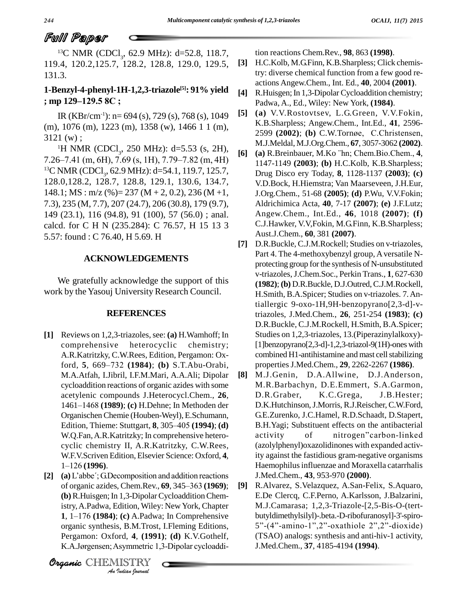### Full Paper

<sup>13</sup>C NMR (CDCl<sub>3</sub>, 62.9 MHz): d=52.8, 118.7, 119.4, 120.2,125.7, 128.2, 128.8, 129.0, 129.5, 131.3.

# **1-Benzyl-4-phenyl-1H-1,2,3-triazole [5]: 91% yield** 131.3.<br>**1-Benzyl-4-phenyl-1H-1,2,3-tria**<br>; mp 129–129.5 8C ;

IR (KBr/cm<sup>-1</sup>): n= 694 (s), 729 (s), 768 (s), 1049 <sup>[5]</sup> (m), 1076 (m), 1223 (m), 1358 (w), 1466 1 1 (m), 3121 (w) ;

<sup>1</sup>H NMR (CDCl<sub>3</sub>, 250 MHz): d=5.53 (s, 2H),  $\frac{1}{16}$ 7.26–7.41 (m, 6H), 7.69 (s, 1H), 7.79–7.82 (m, 4H) <sup>13</sup>C NMR (CDCl<sub>3</sub>, 62.9 MHz): d=54.1, 119.7, 125.7, 128.0,128.2, 128.7, 128.8, 129.1, 130.6, 134.7,  $148.1$ ; MS : m/z (%)= 237 (M + 2, 0.2), 236 (M + 1, 7.3), 235 (M, 7.7), 207 (24.7), 206 (30.8), 179 (9.7), 149 (23.1), 116 (94.8), 91 (100), 57 (56.0) ; anal. calcd. for C H N (235.284): C 76.57, H 15 13 3 5.57: found : C 76.40, H 5.69. H

#### **ACKNOWLEDGEMENTS**

We gratefully acknowledge the support of this work by the Yasouj University Research Council.

#### **REFERENCES**

- **[1]** Reviews on 1,2,3-triazoles,see: **(a)** H.Wamhoff; In comprehensive heterocyclic chemistry;<br>A.R.Katritzky, C.W.Rees, Edition, Pergamon: Ox-<br>ford, **5**, 669–732 (**1984**); (**b**) S.T.Abu-Orabi, A.R.Katritzky, C.W.Rees, Edition, Pergamon: Ox-M.A.Atfah, I.Jibril, I.F.M.Mari, A.A.Ali; Dipolar cycloaddition reactions of organic azides with some<br>acetylenic compounds J.Heterocycl.Chem., **26,**<br>1461–1468 **(1989)**; **(c)** H.Dehne; In Methoden der acetylenic compounds J.Heterocycl.Chem., **26**, OrganischenChemie (Houben-Weyl),E.Schumann, 1461–1468 (**1989**); (c) H.Dehne; In Methoden der Organischen Chemie (Houben-Weyl), E.Schumann, Edition, Thieme: Stuttgart, 8, 305–405 (**1994**); (**d**) W.Q.Fan,A.R.Katritzky; In comprehensive hetero cyclic chemistry II, A.R.Katritzky, C.W.Rees,<br>W.F.V.Scriven Edition, Elsevier Science: Oxford, **4**,<br>1–126 **(1996**). W.F.V.Scriven Edition, Elsevier Science: Oxford, **4**, **[2]**  $(2)$  **(a)** L'abbe'; G.Decomposition and addition reactions
- istry, A.Padwa, Edition, Wiley: New York, Chapter *I*dition, Wiley<br>*I*, (c) A.Padwa<br>*S*, B.M.Trost,<br>Jord, 4, (1991<br>*ISTRY*<br>*IISTRY* of organic azides, Chem.Rev., **69**, 345–363 **(1969)**; **[9] (b)** R.Huisgen;In 1,3-DipolarCycloadditionChem-**(b)** R.Huisgen; In 1,3-Dipolar Cycloaddition Chemistry, A.Padwa, Edition, Wiley: New York, Chapter<br>1, 1–176 (1**984**); (c) A.Padwa; In Comprehensive organic synthesis, B.M.Trost, I.Fleming Editions, Pergamon: Oxford, **4**, **(1991)**; **(d)** K.V.Gothelf, organic synthesis, B.M.Trost, I.Fleming Editions,<br>Pergamon: Oxford, 4, (1991); (d) K.V.Gothelf,<br>K.A.Jørgensen; Asymmetric 1,3-Dipolar cycloaddi-

CHEMISTRY COMMENT

tion reactions Chem.Rev., **98**, 863 **(1998)**.

- **[3]** H.C.Kolb, M.G.Finn, K.B.Sharpless; Click chemistry: diverse chemical function from a few good re actions Angew.Chem., Int. Ed., **40**, 2004 **(2001)**.
- **[4]** R.Huisgen;In 1,3-Dipolar Cycloaddition chemistry; Padwa, A., Ed., Wiley: New York, **(1984)**.
- **[5] (a)** V.V.Rostovtsev, L.G.Green, V.V.Fokin, K.B.Sharpless; Angew.Chem., Int.Ed., **41**, 2596-<br>2599 **(2002)**; **(b)** C.W.Tornøe, C.Christensen, K.B.Sharpless; Angew.Chem., Int.Ed., **41**, 2596- M.J.Meldal, M.J.Org.Chem., **67**, 3057-3062 **(2002)**. 2599 (2002); (b) C.W.Tornøe, C.Christensen, M.J.Meldal, M.J.Org.Chem., **67**, 3057-3062 (2002).<br>(a) R.Breinbauer, M.Ko <sup>"</sup>hn; Chem.Bio.Chem., 4,
- 1147-1149 **(2003)**; **(b)** H.C.Kolb, K.B.Sharpless; Drug Disco ery Today, **8**, 1128-1137 **(2003)**; **(c)** V.D.Bock, H.Hiemstra; Van Maarseveen, J.H.Eur, J.Org.Chem., 51-68 **(2005)**; **(d)** P.Wu, V.V.Fokin; Aldrichimica Acta, **40**, 7-17 **(2007)**; **(e)** J.F.Lutz; Angew.Chem., Int.Ed., **46**, 1018 **(2007)**; **(f)** C.J.Hawker, V.V,Fokin, M.G.Finn, K.B.Sharpless; Aust.J.Chem., **60**, 381 **(2007)**.
- **[7]** D.R.Buckle, C.J.M.Rockell; Studies on v-triazoles, Part 4. The 4-methoxybenzyl group, Aversatile N protecting group for the synthesis of N-unsubstituted v-triazoles,J.Chem.Soc., Perkin Trans., **1**, 627-630 **(1982)**; **(b)** D.R.Buckle, D.J.Outred,C.J.M.Rockell, H.Smith, B.A.Spicer; Studies on v-triazoles. 7.Antiallergic 9-oxo-1H,9H-benzopyrano[2,3-d]-vtriazoles, J.Med.Chem., **26**, 251-254 **(1983)**; **(c)** D.R.Buckle, C.J.M.Rockell, H.Smith, B.A.Spicer; Studies on 1,2,3-triazoles, 13.(Piperazinylalkoxy)-  $[1]$ benzopyrano $[2,3-d]$ -1,2,3-triazol-9(1H)-ones with combined H1-antihistamine and mast cell stabilizing properties J.Med.Chem., **29**, 2262-2267 **(1986)**.
- **[8]** M.J.Genin, D.A.Allwine, D.J.Anderson, M.R.Barbachyn, D.E.Emmert, S.A.Garmon, D.R.Graber, K.C.Grega, J.B.Hester; D.K.Hutchinson, J.Morris, R.J.Reischer, C.W.Ford, G.E.Zurenko, J.C.Hamel, R.D.Schaadt, D.Stapert,<br>B.H.Yagi; Substituent effects on the antibacterial<br>activity of nitrogen<sup>2</sup>carbon-linked B.H.Yagi; Substituent effects on the antibacterial (azolylphenyl)oxazolidinones with expanded activity against the fastidious gram-negative organisms Haemophilus influenzae and Moraxella catarrhalis J.Med.Chem., **43**, 953-970 **(2000)**.
- **[9]** R.Alvarez, S.Velazquez, A.San-Felix, S.Aquaro, E.De Clercq, C.F.Perno, A.Karlsson, J.Balzarini, M.J.Camarasa; 1,2,3-Triazole-[2,5-Bis-O-(tert butyldimethylsilyl)-.beta.-D-ribofuranosyl]-3'-spiro- M.J.Camarasa; 1,2,3-Triazole-[2,5-Bis-O-(tert-<br>butyldimethylsilyl)-.beta.-D-ribofuranosyl]-3'-spiro-<br>5"-(4"-amino-1",2"-oxathiole 2",2"-dioxide) (TSAO) analogs: synthesis and anti-hiv-1 activity, J.Med.Chem., **37**, 4185-4194 **(1994)**.